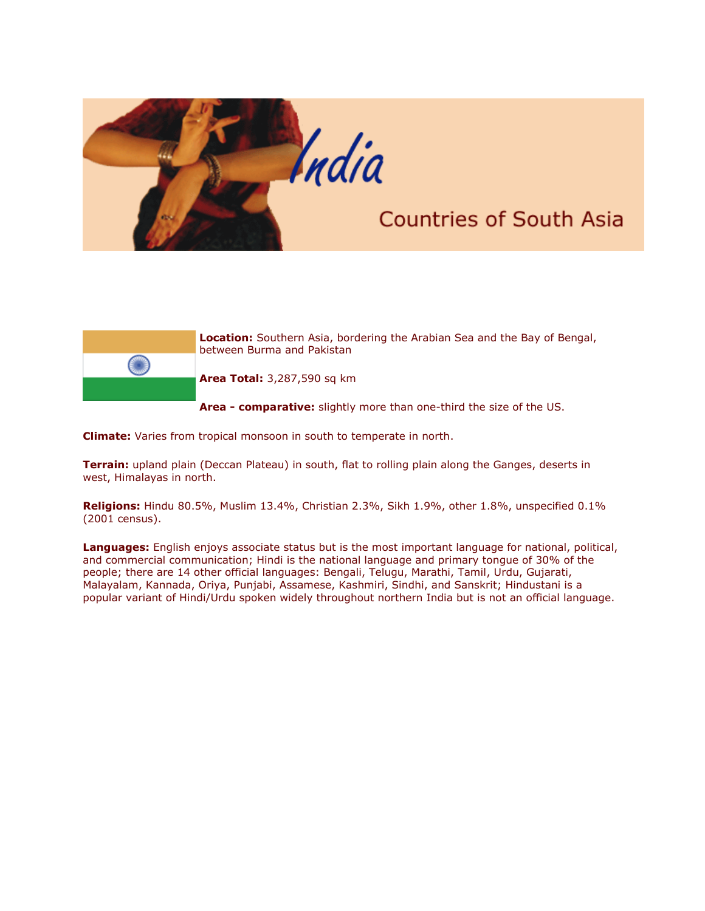

## **Countries of South Asia**



**Location:** Southern Asia, bordering the Arabian Sea and the Bay of Bengal, between Burma and Pakistan

**Area Total:** 3,287,590 sq km

**Area - comparative:** slightly more than one-third the size of the US.

**Climate:** Varies from tropical monsoon in south to temperate in north.

**Terrain:** upland plain (Deccan Plateau) in south, flat to rolling plain along the Ganges, deserts in west, Himalayas in north.

**Religions:** Hindu 80.5%, Muslim 13.4%, Christian 2.3%, Sikh 1.9%, other 1.8%, unspecified 0.1% (2001 census).

**Languages:** English enjoys associate status but is the most important language for national, political, and commercial communication; Hindi is the national language and primary tongue of 30% of the people; there are 14 other official languages: Bengali, Telugu, Marathi, Tamil, Urdu, Gujarati, Malayalam, Kannada, Oriya, Punjabi, Assamese, Kashmiri, Sindhi, and Sanskrit; Hindustani is a popular variant of Hindi/Urdu spoken widely throughout northern India but is not an official language.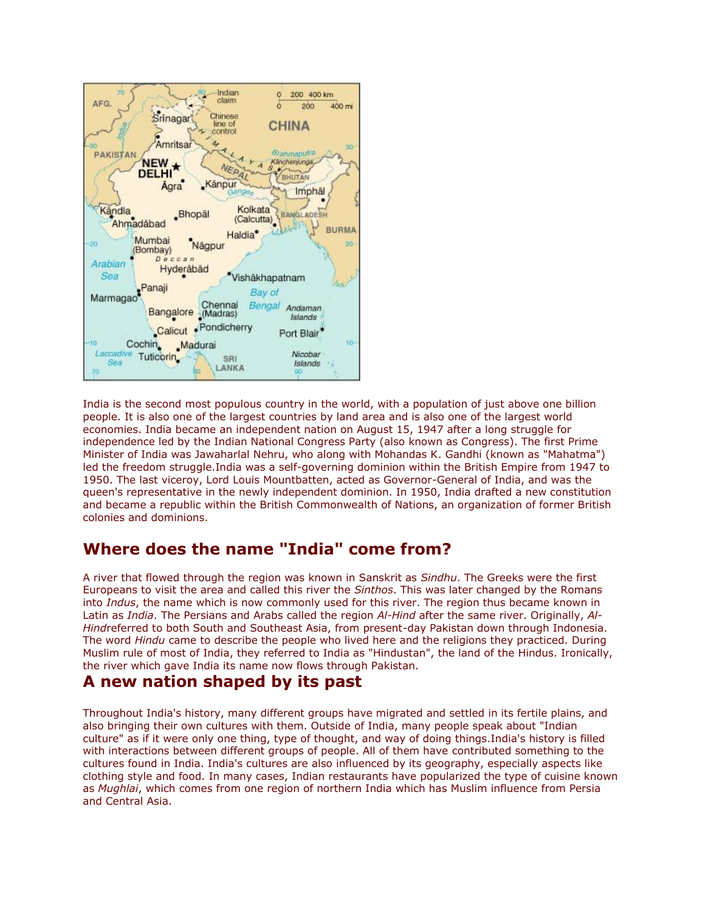

India is the second most populous country in the world, with a population of just above one billion people. It is also one of the largest countries by land area and is also one of the largest world economies. India became an independent nation on August 15, 1947 after a long struggle for independence led by the Indian National Congress Party (also known as Congress). The first Prime Minister of India was Jawaharlal Nehru, who along with Mohandas K. Gandhi (known as "Mahatma") led the freedom struggle.India was a self-governing dominion within the British Empire from 1947 to 1950. The last viceroy, Lord Louis Mountbatten, acted as Governor-General of India, and was the queen's representative in the newly independent dominion. In 1950, India drafted a new constitution and became a republic within the British Commonwealth of Nations, an organization of former British colonies and dominions.

## **Where does the name "India" come from?**

A river that flowed through the region was known in Sanskrit as *Sindhu*. The Greeks were the first Europeans to visit the area and called this river the *Sinthos*. This was later changed by the Romans into *Indus*, the name which is now commonly used for this river. The region thus became known in Latin as *India*. The Persians and Arabs called the region *Al-Hind* after the same river. Originally, *Al-Hind*referred to both South and Southeast Asia, from present-day Pakistan down through Indonesia. The word *Hindu* came to describe the people who lived here and the religions they practiced. During Muslim rule of most of India, they referred to India as "Hindustan", the land of the Hindus. Ironically, the river which gave India its name now flows through Pakistan.

## **A new nation shaped by its past**

Throughout India's history, many different groups have migrated and settled in its fertile plains, and also bringing their own cultures with them. Outside of India, many people speak about "Indian culture" as if it were only one thing, type of thought, and way of doing things.India's history is filled with interactions between different groups of people. All of them have contributed something to the cultures found in India. India's cultures are also influenced by its geography, especially aspects like clothing style and food. In many cases, Indian restaurants have popularized the type of cuisine known as *Mughlai*, which comes from one region of northern India which has Muslim influence from Persia and Central Asia.